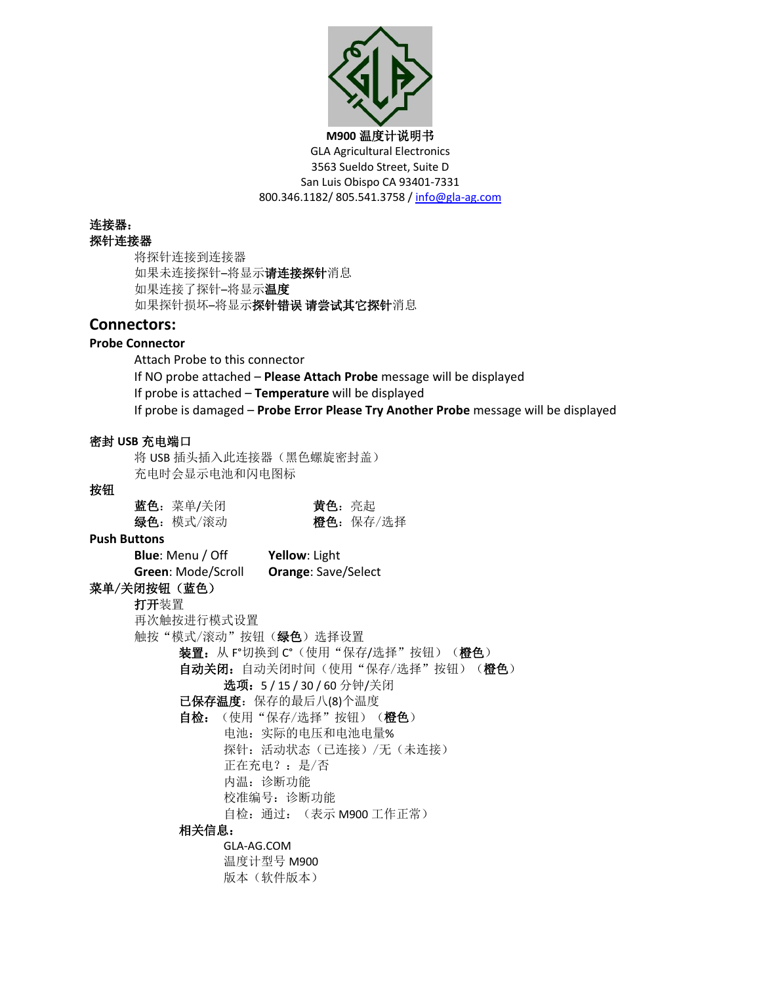

连接器:

### 探针连接器

将探针连接到连接器 如果未连接探针–将显示请连接探针消息 如果连接了探针–将显示温度 如果探针损坏–将显示探针错误 请尝试其它探针消息

# **Connectors:**

### **Probe Connector**

Attach Probe to this connector If NO probe attached – **Please Attach Probe** message will be displayed If probe is attached – **Temperature** will be displayed If probe is damaged – **Probe Error Please Try Another Probe** message will be displayed

# 密封 **USB** 充电端口

将 USB 插头插入此连接器(黑色螺旋密封盖) 充电时会显示电池和闪电图标

#### 按钮

| 蓝色: 菜单/关闭 | 黄色:亮起 |           |
|-----------|-------|-----------|
| 绿色: 模式/滚动 |       | 橙色: 保存/选择 |

#### **Push Buttons**

**Blue**: Menu / Off **Yellow**: Light **Green**: Mode/Scroll **Orange**: Save/Select 菜单/关闭按钮(蓝色) 打开装置 再次触按进行模式设置 触按"模式/滚动"按钮(绿色)选择设置 装置: 从 F°切换到 C°(使用"保存/选择"按钮)(橙色) 自动关闭: 自动关闭时间(使用"保存/选择"按钮)(橙色) 选项:5 / 15 / 30 / 60 分钟/关闭 已保存温度:保存的最后八(8)个温度 自检:(使用"保存/选择"按钮)(橙色) 电池:实际的电压和电池电量% 探针:活动状态(已连接)/无(未连接) 正在充电?:是/否 内温: 诊断功能 校准编号: 诊断功能 自检:通过:(表示 M900 工作正常) 相关信息: GLA-AG.COM 温度计型号 M900

版本(软件版本)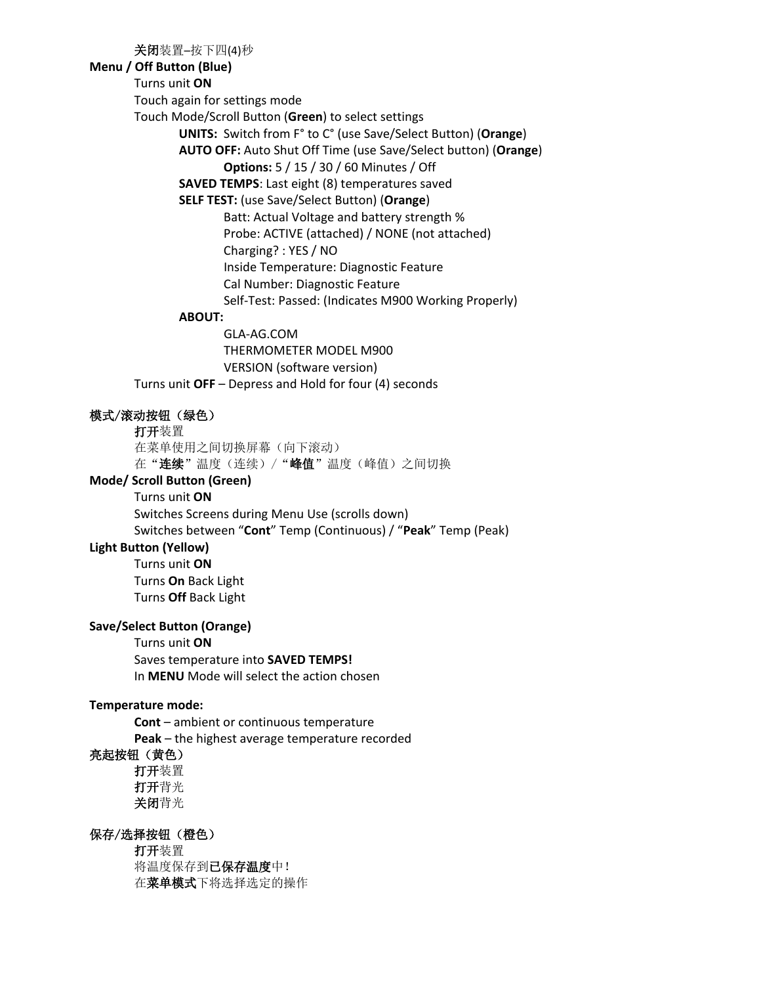关闭装置–按下四(4)秒

### **Menu / Off Button (Blue)**

Turns unit **ON**

Touch again for settings mode

Touch Mode/Scroll Button (**Green**) to select settings

**UNITS:** Switch from F° to C° (use Save/Select Button) (**Orange**)

**AUTO OFF:** Auto Shut Off Time (use Save/Select button) (**Orange**) **Options:** 5 / 15 / 30 / 60 Minutes / Off

**SAVED TEMPS**: Last eight (8) temperatures saved

# **SELF TEST:** (use Save/Select Button) (**Orange**)

Batt: Actual Voltage and battery strength % Probe: ACTIVE (attached) / NONE (not attached) Charging? : YES / NO Inside Temperature: Diagnostic Feature Cal Number: Diagnostic Feature Self-Test: Passed: (Indicates M900 Working Properly)

# **ABOUT:**

GLA-AG.COM THERMOMETER MODEL M900 VERSION (software version) Turns unit **OFF** – Depress and Hold for four (4) seconds

模式/滚动按钮(绿色)

打开装置

在菜单使用之间切换屏幕(向下滚动) 在"连续"温度(连续)/"峰值"温度(峰值)之间切换

# **Mode/ Scroll Button (Green)**

Turns unit **ON** Switches Screens during Menu Use (scrolls down) Switches between "**Cont**" Temp (Continuous) / "**Peak**" Temp (Peak)

# **Light Button (Yellow)**

Turns unit **ON** Turns **On** Back Light Turns **Off** Back Light

# **Save/Select Button (Orange)**

Turns unit **ON** Saves temperature into **SAVED TEMPS!** In **MENU** Mode will select the action chosen

### **Temperature mode:**

**Cont** – ambient or continuous temperature **Peak** – the highest average temperature recorded

# 亮起按钮(黄色)

打开装置 打开背光 关闭背光

# 保存/选择按钮(橙色)

打开装置 将温度保存到已保存温度中! 在菜单模式下将选择选定的操作